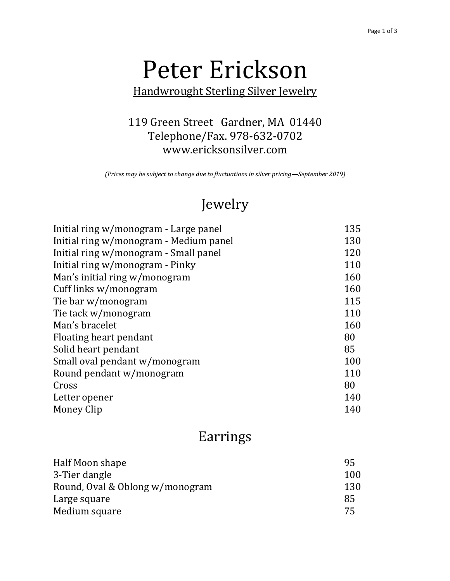# Peter Erickson

 Handwrought Sterling Silver Jewelry

#### 119 Green Street Gardner, MA 01440 Telephone/Fax. 978-632-0702 <www.ericksonsilver.com>

 *(Prices may be subject to change due to fluctuations in silver pricing—September 2019)*

## Jewelry

| Initial ring w/monogram - Large panel  | 135 |
|----------------------------------------|-----|
| Initial ring w/monogram - Medium panel | 130 |
| Initial ring w/monogram - Small panel  | 120 |
| Initial ring w/monogram - Pinky        | 110 |
| Man's initial ring w/monogram          | 160 |
| Cuff links w/monogram                  | 160 |
| Tie bar w/monogram                     | 115 |
| Tie tack w/monogram                    | 110 |
| Man's bracelet                         | 160 |
| Floating heart pendant                 | 80  |
| Solid heart pendant                    | 85  |
| Small oval pendant w/monogram          | 100 |
| Round pendant w/monogram               | 110 |
| Cross                                  | 80  |
| Letter opener                          | 140 |
| Money Clip                             | 140 |

### Earrings

| Half Moon shape                 | 95  |
|---------------------------------|-----|
| 3-Tier dangle                   | 100 |
| Round, Oval & Oblong w/monogram | 130 |
| Large square                    | 85  |
| Medium square                   | 75  |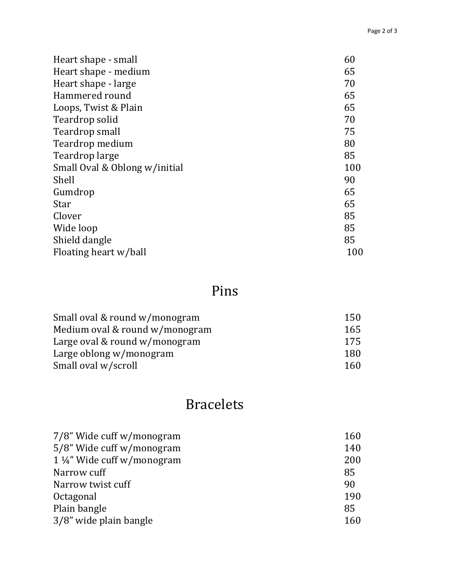| Heart shape - small           | 60  |
|-------------------------------|-----|
| Heart shape - medium          | 65  |
| Heart shape - large           | 70  |
| Hammered round                | 65  |
| Loops, Twist & Plain          | 65  |
| Teardrop solid                | 70  |
| Teardrop small                | 75  |
| Teardrop medium               | 80  |
| Teardrop large                | 85  |
| Small Oval & Oblong w/initial | 100 |
| Shell                         | 90  |
| Gumdrop                       | 65  |
| <b>Star</b>                   | 65  |
| Clover                        | 85  |
| Wide loop                     | 85  |
| Shield dangle                 | 85  |
| Floating heart w/ball         | 100 |

## Pins

| Small oval & round w/monogram  | 150 |
|--------------------------------|-----|
| Medium oval & round w/monogram | 165 |
| Large oval & round w/monogram  | 175 |
| Large oblong w/monogram        | 180 |
| Small oval w/scroll            | 160 |

## Bracelets

| 7/8" Wide cuff w/monogram   | 160 |
|-----------------------------|-----|
| 5/8" Wide cuff w/monogram   | 140 |
| 1 1/4" Wide cuff w/monogram | 200 |
| Narrow cuff                 | 85  |
| Narrow twist cuff           | 90  |
| Octagonal                   | 190 |
| Plain bangle                | 85  |
| 3/8" wide plain bangle      | 160 |